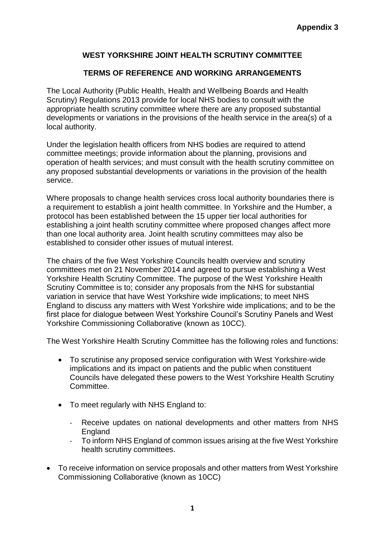## **WEST YORKSHIRE JOINT HEALTH SCRUTINY COMMITTEE**

## **TERMS OF REFERENCE AND WORKING ARRANGEMENTS**

The Local Authority (Public Health, Health and Wellbeing Boards and Health Scrutiny) Regulations 2013 provide for local NHS bodies to consult with the appropriate health scrutiny committee where there are any proposed substantial developments or variations in the provisions of the health service in the area(s) of a local authority.

Under the legislation health officers from NHS bodies are required to attend committee meetings; provide information about the planning, provisions and operation of health services; and must consult with the health scrutiny committee on any proposed substantial developments or variations in the provision of the health service.

Where proposals to change health services cross local authority boundaries there is a requirement to establish a joint health committee. In Yorkshire and the Humber, a protocol has been established between the 15 upper tier local authorities for establishing a joint health scrutiny committee where proposed changes affect more than one local authority area. Joint health scrutiny committees may also be established to consider other issues of mutual interest.

The chairs of the five West Yorkshire Councils health overview and scrutiny committees met on 21 November 2014 and agreed to pursue establishing a West Yorkshire Health Scrutiny Committee. The purpose of the West Yorkshire Health Scrutiny Committee is to; consider any proposals from the NHS for substantial variation in service that have West Yorkshire wide implications; to meet NHS England to discuss any matters with West Yorkshire wide implications; and to be the first place for dialogue between West Yorkshire Council's Scrutiny Panels and West Yorkshire Commissioning Collaborative (known as 10CC).

The West Yorkshire Health Scrutiny Committee has the following roles and functions:

- To scrutinise any proposed service configuration with West Yorkshire-wide implications and its impact on patients and the public when constituent Councils have delegated these powers to the West Yorkshire Health Scrutiny Committee.
- To meet regularly with NHS England to:
	- Receive updates on national developments and other matters from NHS England
	- To inform NHS England of common issues arising at the five West Yorkshire health scrutiny committees.
- To receive information on service proposals and other matters from West Yorkshire Commissioning Collaborative (known as 10CC)